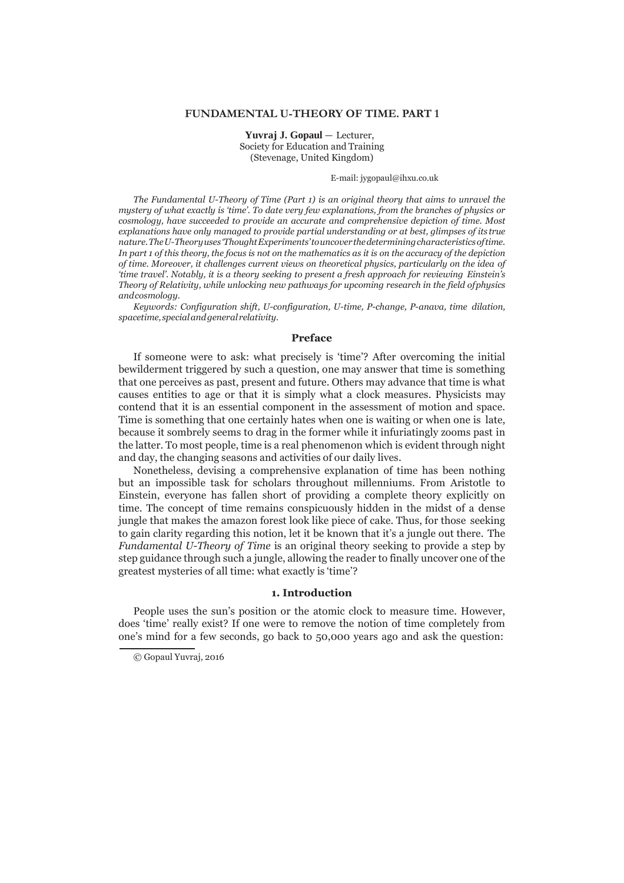# **FUNDAMENTAL U-THEORY OF TIME. PART 1**

**Yuvraj J. Gopaul** — Lecturer, Society for Education and Training (Stevenage, United Kingdom)

E-mail: jygopaul@ihxu.co.uk

*The Fundamental U-Theory of Time (Part 1) is an original theory that aims to unravel the mystery of what exactly is 'time'. To date very few explanations, from the branches of physics or cosmology, have succeeded to provide an accurate and comprehensive depiction of time. Most explanations have only managed to provide partial understanding or at best, glimpses of its true nature. The U-Theory uses 'Thought Experiments' to uncover the determining characteristics of time. In part 1 of this theory, the focus is not on the mathematics as it is on the accuracy of the depiction of time. Moreover, it challenges current views on theoretical physics, particularly on the idea of 'time travel'. Notably, it is a theory seeking to present a fresh approach for reviewing Einstein's Theory of Relativity, while unlocking new pathways for upcoming research in the field of physics and cosmology.*

*Keywords: Configuration shift, U-configuration, U-time, P-change, P-anava, time dilation, spacetime, special and general relativity.*

# **Preface**

If someone were to ask: what precisely is 'time'? After overcoming the initial bewilderment triggered by such a question, one may answer that time is something that one perceives as past, present and future. Others may advance that time is what causes entities to age or that it is simply what a clock measures. Physicists may contend that it is an essential component in the assessment of motion and space. Time is something that one certainly hates when one is waiting or when one is late, because it sombrely seems to drag in the former while it infuriatingly zooms past in the latter. To most people, time is a real phenomenon which is evident through night and day, the changing seasons and activities of our daily lives.

Nonetheless, devising a comprehensive explanation of time has been nothing but an impossible task for scholars throughout millenniums. From Aristotle to Einstein, everyone has fallen short of providing a complete theory explicitly on time. The concept of time remains conspicuously hidden in the midst of a dense jungle that makes the amazon forest look like piece of cake. Thus, for those seeking to gain clarity regarding this notion, let it be known that it's a jungle out there. The *Fundamental U-Theory of Time* is an original theory seeking to provide a step by step guidance through such a jungle, allowing the reader to finally uncover one of the greatest mysteries of all time: what exactly is 'time'?

## **1. Introduction**

People uses the sun's position or the atomic clock to measure time. However, does 'time' really exist? If one were to remove the notion of time completely from one's mind for a few seconds, go back to 50,000 years ago and ask the question:

<sup>©</sup> Gopaul Yuvraj, 2016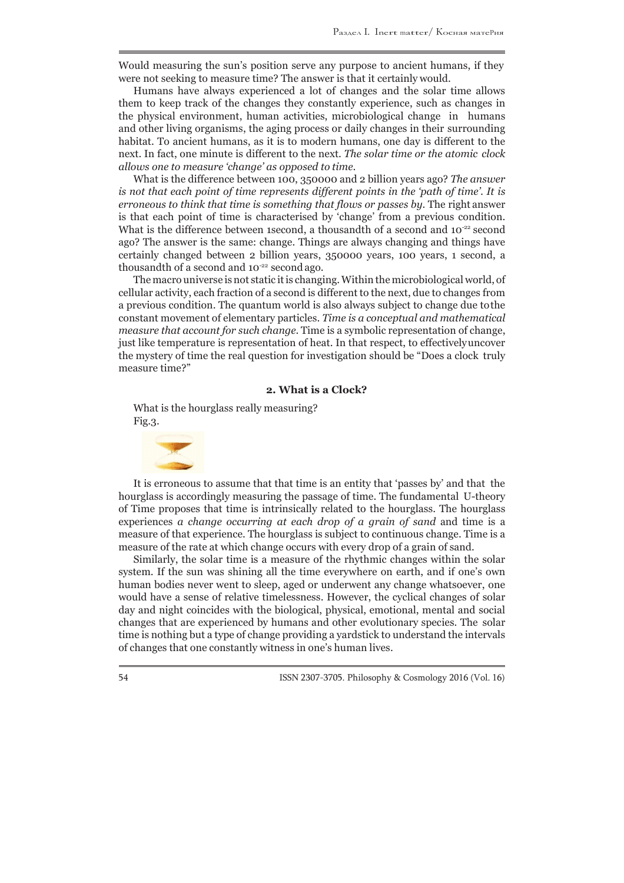Would measuring the sun's position serve any purpose to ancient humans, if they were not seeking to measure time? The answer is that it certainly would.

Humans have always experienced a lot of changes and the solar time allows them to keep track of the changes they constantly experience, such as changes in the physical environment, human activities, microbiological change in humans and other living organisms, the aging process or daily changes in their surrounding habitat. To ancient humans, as it is to modern humans, one day is different to the next. In fact, one minute is different to the next. *The solar time or the atomic clock allows one to measure 'change' as opposed to time*.

What is the difference between 100, 350000 and 2 billion years ago? *The answer is not that each point of time represents different points in the 'path of time'. It is erroneous to think that time is something that flows or passes by*. The right answer is that each point of time is characterised by 'change' from a previous condition. What is the difference between 1second, a thousandth of a second and  $10^{-22}$  second ago? The answer is the same: change. Things are always changing and things have certainly changed between 2 billion years, 350000 years, 100 years, 1 second, a thousandth of a second and  $10^{-22}$  second ago.

The macro universe is not static it is changing. Within the microbiological world, of cellular activity, each fraction of a second is different to the next, due to changes from a previous condition. The quantum world is also always subject to change due to the constant movement of elementary particles. *Time is a conceptual and mathematical measure that account for such change*. Time is a symbolic representation of change, just like temperature is representation of heat. In that respect, to effectively uncover the mystery of time the real question for investigation should be "Does a clock truly measure time?"

# **2. What is a Clock?**

What is the hourglass really measuring? Fig.3.



It is erroneous to assume that that time is an entity that 'passes by' and that the hourglass is accordingly measuring the passage of time. The fundamental U-theory of Time proposes that time is intrinsically related to the hourglass. The hourglass experiences *a change occurring at each drop of a grain of sand* and time is a measure of that experience. The hourglass is subject to continuous change. Time is a measure of the rate at which change occurs with every drop of a grain of sand.

Similarly, the solar time is a measure of the rhythmic changes within the solar system. If the sun was shining all the time everywhere on earth, and if one's own human bodies never went to sleep, aged or underwent any change whatsoever, one would have a sense of relative timelessness. However, the cyclical changes of solar day and night coincides with the biological, physical, emotional, mental and social changes that are experienced by humans and other evolutionary species. The solar time is nothing but a type of change providing a yardstick to understand the intervals of changes that one constantly witness in one's human lives.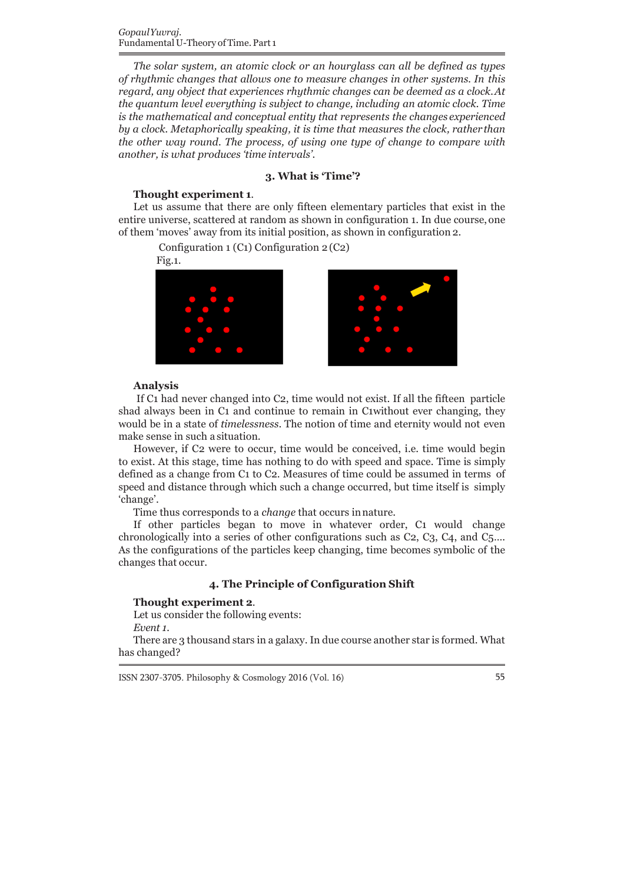*The solar system, an atomic clock or an hourglass can all be defined as types of rhythmic changes that allows one to measure changes in other systems. In this regard, any object that experiences rhythmic changes can be deemed as a clock. At the quantum level everything is subject to change, including an atomic clock. Time is the mathematical and conceptual entity that represents the changes experienced by a clock. Metaphorically speaking, it is time that measures the clock, rather than the other way round. The process, of using one type of change to compare with another, is what produces 'time intervals'*.

# **3. What is 'Time'?**

# **Thought experiment 1**.

Let us assume that there are only fifteen elementary particles that exist in the entire universe, scattered at random as shown in configuration 1. In due course, one of them 'moves' away from its initial position, as shown in configuration 2.

Configuration 1 (C1) Configuration 2 (C2)

Fig.1.





# **Analysis**

If C1 had never changed into C2, time would not exist. If all the fifteen particle shad always been in C1 and continue to remain in C1without ever changing, they would be in a state of *timelessness*. The notion of time and eternity would not even make sense in such a situation.

However, if C2 were to occur, time would be conceived, i.e. time would begin to exist. At this stage, time has nothing to do with speed and space. Time is simply defined as a change from C1 to C2. Measures of time could be assumed in terms of speed and distance through which such a change occurred, but time itself is simply 'change'.

Time thus corresponds to a *change* that occurs in nature.

If other particles began to move in whatever order, C1 would change chronologically into a series of other configurations such as C2, C3, C4, and C5…. As the configurations of the particles keep changing, time becomes symbolic of the changes that occur.

# **4. The Principle of Configuration Shift**

#### **Thought experiment 2**.

Let us consider the following events:

*Event 1.*

There are 3 thousand stars in a galaxy. In due course another star is formed. What has changed?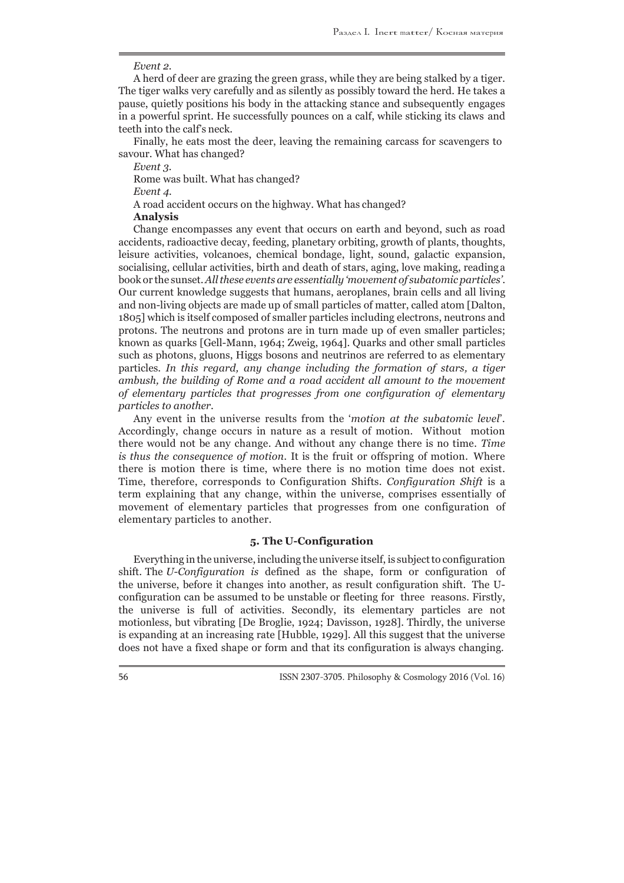#### *Event 2.*

A herd of deer are grazing the green grass, while they are being stalked by a tiger. The tiger walks very carefully and as silently as possibly toward the herd. He takes a pause, quietly positions his body in the attacking stance and subsequently engages in a powerful sprint. He successfully pounces on a calf, while sticking its claws and teeth into the calf's neck.

Finally, he eats most the deer, leaving the remaining carcass for scavengers to savour. What has changed?

*Event 3.*

Rome was built. What has changed?

*Event 4.*

A road accident occurs on the highway. What has changed?

**Analysis**

Change encompasses any event that occurs on earth and beyond, such as road accidents, radioactive decay, feeding, planetary orbiting, growth of plants, thoughts, leisure activities, volcanoes, chemical bondage, light, sound, galactic expansion, socialising, cellular activities, birth and death of stars, aging, love making, reading a book or the sunset. *All these events are essentially 'movement of subatomic particles'*. Our current knowledge suggests that humans, aeroplanes, brain cells and all living and non-living objects are made up of small particles of matter, called atom [Dalton, 1805] which is itself composed of smaller particles including electrons, neutrons and protons. The neutrons and protons are in turn made up of even smaller particles; known as quarks [Gell-Mann, 1964; Zweig, 1964]. Quarks and other small particles such as photons, gluons, Higgs bosons and neutrinos are referred to as elementary particles. *In this regard, any change including the formation of stars, a tiger ambush, the building of Rome and a road accident all amount to the movement of elementary particles that progresses from one configuration of elementary particles to another*.

Any event in the universe results from the '*motion at the subatomic level*'. Accordingly, change occurs in nature as a result of motion. Without motion there would not be any change. And without any change there is no time. *Time is thus the consequence of motion*. It is the fruit or offspring of motion. Where there is motion there is time, where there is no motion time does not exist. Time, therefore, corresponds to Configuration Shifts. *Configuration Shift* is a term explaining that any change, within the universe, comprises essentially of movement of elementary particles that progresses from one configuration of elementary particles to another.

### **5. The U-Configuration**

Everything in the universe, including the universe itself, is subject to configuration shift. The *U-Configuration is* defined as the shape, form or configuration of the universe, before it changes into another, as result configuration shift. The Uconfiguration can be assumed to be unstable or fleeting for three reasons. Firstly, the universe is full of activities. Secondly, its elementary particles are not motionless, but vibrating [De Broglie, 1924; Davisson, 1928]. Thirdly, the universe is expanding at an increasing rate [Hubble, 1929]. All this suggest that the universe does not have a fixed shape or form and that its configuration is always changing.

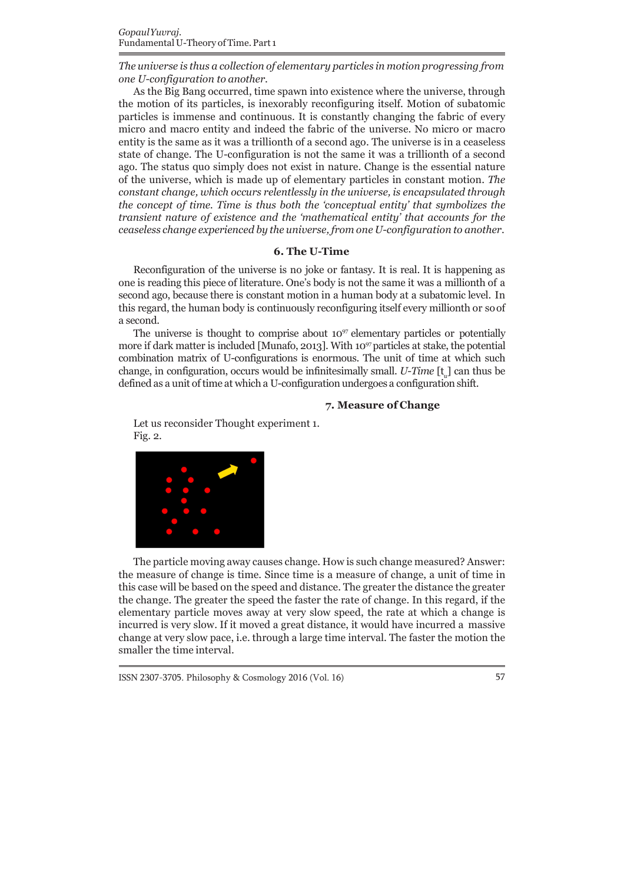*The universe is thus a collection of elementary particles in motion progressing from one U-configuration to another*.

As the Big Bang occurred, time spawn into existence where the universe, through the motion of its particles, is inexorably reconfiguring itself. Motion of subatomic particles is immense and continuous. It is constantly changing the fabric of every micro and macro entity and indeed the fabric of the universe. No micro or macro entity is the same as it was a trillionth of a second ago. The universe is in a ceaseless state of change. The U-configuration is not the same it was a trillionth of a second ago. The status quo simply does not exist in nature. Change is the essential nature of the universe, which is made up of elementary particles in constant motion. *The constant change, which occurs relentlessly in the universe, is encapsulated through the concept of time. Time is thus both the 'conceptual entity' that symbolizes the transient nature of existence and the 'mathematical entity' that accounts for the ceaseless change experienced by the universe, from one U-configuration to another*.

#### **6. The U-Time**

Reconfiguration of the universe is no joke or fantasy. It is real. It is happening as one is reading this piece of literature. One's body is not the same it was a millionth of a second ago, because there is constant motion in a human body at a subatomic level. In this regard, the human body is continuously reconfiguring itself every millionth or so of a second.

change, in configuration, occurs would be infinitesimally small. *U-Time* [t<sub>u</sub>] can thus be The universe is thought to comprise about  $10^{97}$  elementary particles or potentially more if dark matter is included [Munafo, 2013]. With  $10<sup>97</sup>$  particles at stake, the potential combination matrix of U-configurations is enormous. The unit of time at which such defined as a unit of time at which a U-configuration undergoes a configuration shift.

# **7. Measure of Change**

Let us reconsider Thought experiment 1. Fig. 2.



The particle moving away causes change. How is such change measured? Answer: the measure of change is time. Since time is a measure of change, a unit of time in this case will be based on the speed and distance. The greater the distance the greater the change. The greater the speed the faster the rate of change. In this regard, if the elementary particle moves away at very slow speed, the rate at which a change is incurred is very slow. If it moved a great distance, it would have incurred a massive change at very slow pace, i.e. through a large time interval. The faster the motion the smaller the time interval.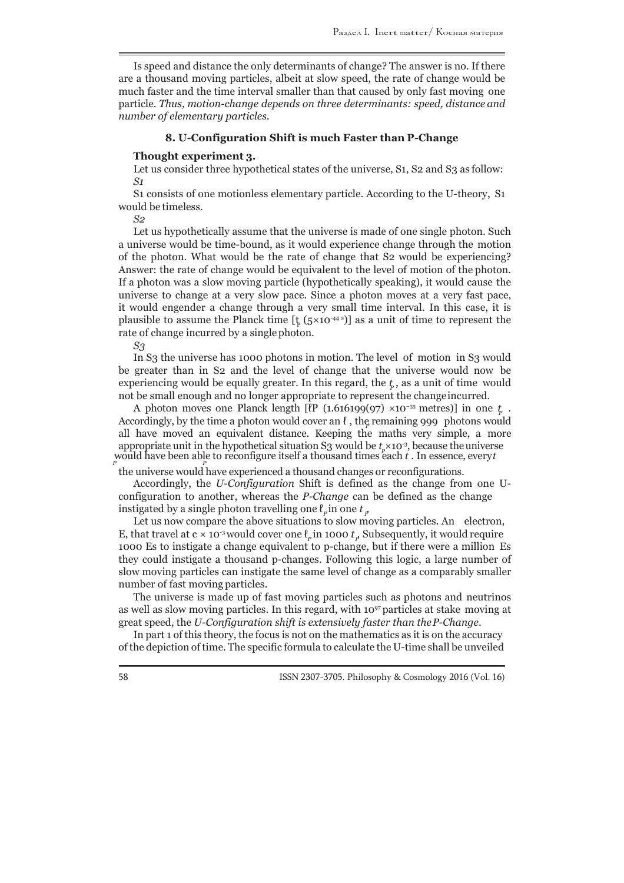Is speed and distance the only determinants of change? The answer is no. If there are a thousand moving particles, albeit at slow speed, the rate of change would be much faster and the time interval smaller than that caused by only fast moving one particle. *Thus, motion-change depends on three determinants: speed, distance and number of elementary particles*.

#### **8. U-Configuration Shift is much Faster than P-Change**

#### **Thought experiment 3.**

Let us consider three hypothetical states of the universe, S<sub>1</sub>, S<sub>2</sub> and S<sub>3</sub> as follow: *S1*

S1 consists of one motionless elementary particle. According to the U-theory, S1 would be timeless.

*S2*

plausible to assume the Planck time  $[\frac{t}{2}(5 \times 10^{-44 \text{ s}})]$  as a unit of time to represent the Let us hypothetically assume that the universe is made of one single photon. Such a universe would be time-bound, as it would experience change through the motion of the photon. What would be the rate of change that S2 would be experiencing? Answer: the rate of change would be equivalent to the level of motion of the photon. If a photon was a slow moving particle (hypothetically speaking), it would cause the universe to change at a very slow pace. Since a photon moves at a very fast pace, it would engender a change through a very small time interval. In this case, it is rate of change incurred by a single photon.

*S3*

experiencing would be equally greater. In this regard, the  $t<sub>r</sub>$ , as a unit of time would In S3 the universe has 1000 photons in motion. The level of motion in S3 would be greater than in S2 and the level of change that the universe would now be not be small enough and no longer appropriate to represent the change incurred.

*A* photon moves one Planck length [*ℓP* (1.616199(97) ×10<sup>−35</sup> metres)] in one *t<sub>p</sub>*. Accordingly, by the time a photon would cover an *ℓ*, the remaining 999 photons would *P* would have been able to reconfigure itself a thousand times each *t* . In essence, every *t* all have moved an equivalent distance. Keeping the maths very simple, a more appropriate unit in the hypothetical situation  $S_3$  would be  $t \times 10^{-3}$ , because the universe *P P*

the universe would have experienced a thousand changes or reconfigurations.

 $\rho$  instigated by a single photon travelling one  $\ell_p$  in one  $t_p$ Accordingly, the *U-Configuration* Shift is defined as the change from one Uconfiguration to another, whereas the *P-Change* can be defined as the change

*E*, that travel at c × 10<sup>-3</sup> would cover one  $\ell_p$  in 1000  $t_p$  Subsequently, it would require Let us now compare the above situations to slow moving particles. An electron, 1000 Es to instigate a change equivalent to p-change, but if there were a million Es they could instigate a thousand p-changes. Following this logic, a large number of slow moving particles can instigate the same level of change as a comparably smaller number of fast moving particles.

The universe is made up of fast moving particles such as photons and neutrinos as well as slow moving particles. In this regard, with  $10^{97}$  particles at stake moving at great speed, the *U-Configuration shift is extensively faster than the P-Change*.

In part 1 of this theory, the focus is not on the mathematics as it is on the accuracy of the depiction of time. The specific formula to calculate the U-time shall be unveiled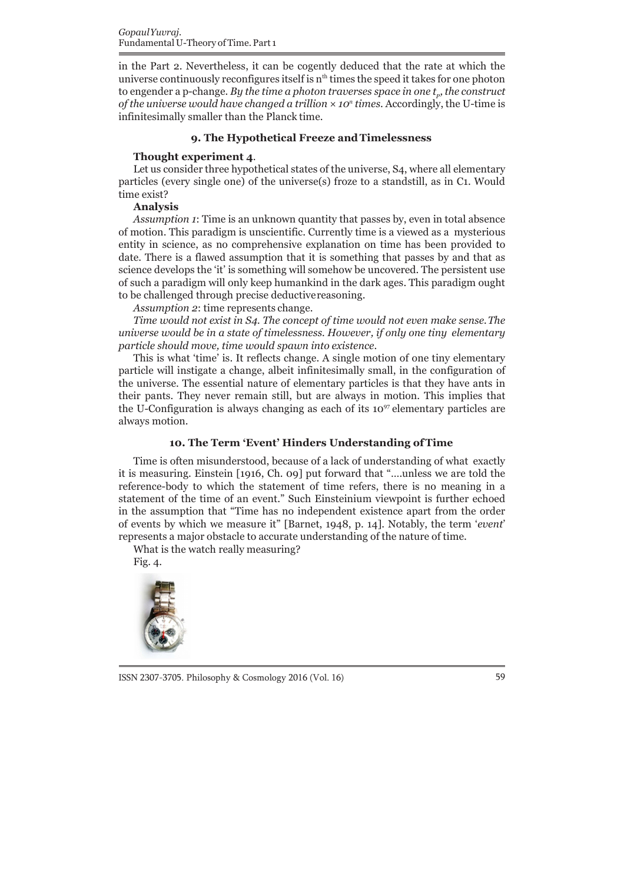to engender a p-change. *By the time a photon traverses space in one t<sub>p</sub>, the construct* in the Part 2. Nevertheless, it can be cogently deduced that the rate at which the universe continuously reconfigures itself is  $n<sup>th</sup>$  times the speed it takes for one photon *of the universe would have changed a trillion × 10<sup>n</sup>times*. Accordingly, the U-time is infinitesimally smaller than the Planck time.

#### **9. The Hypothetical Freeze and Timelessness**

## **Thought experiment 4**.

Let us consider three hypothetical states of the universe, S4, where all elementary particles (every single one) of the universe(s) froze to a standstill, as in C1. Would time exist?

#### **Analysis**

*Assumption 1*: Time is an unknown quantity that passes by, even in total absence of motion. This paradigm is unscientific. Currently time is a viewed as a mysterious entity in science, as no comprehensive explanation on time has been provided to date. There is a flawed assumption that it is something that passes by and that as science develops the 'it' is something will somehow be uncovered. The persistent use of such a paradigm will only keep humankind in the dark ages. This paradigm ought to be challenged through precise deductive reasoning.

*Assumption 2*: time represents change.

*Time would not exist in S4. The concept of time would not even make sense. The universe would be in a state of timelessness. However, if only one tiny elementary particle should move, time would spawn into existence*.

This is what 'time' is. It reflects change. A single motion of one tiny elementary particle will instigate a change, albeit infinitesimally small, in the configuration of the universe. The essential nature of elementary particles is that they have ants in their pants. They never remain still, but are always in motion. This implies that the U-Configuration is always changing as each of its  $10^{97}$  elementary particles are always motion.

# **10. The Term 'Event' Hinders Understanding of Time**

Time is often misunderstood, because of a lack of understanding of what exactly it is measuring. Einstein [1916, Ch. 09] put forward that "….unless we are told the reference-body to which the statement of time refers, there is no meaning in a statement of the time of an event." Such Einsteinium viewpoint is further echoed in the assumption that "Time has no independent existence apart from the order of events by which we measure it" [Barnet, 1948, p. 14]. Notably, the term '*event*' represents a major obstacle to accurate understanding of the nature of time.

What is the watch really measuring?

Fig. 4.



ISSN 2307-3705. Philosophy & Cosmology 2016 (Vol. 16) 59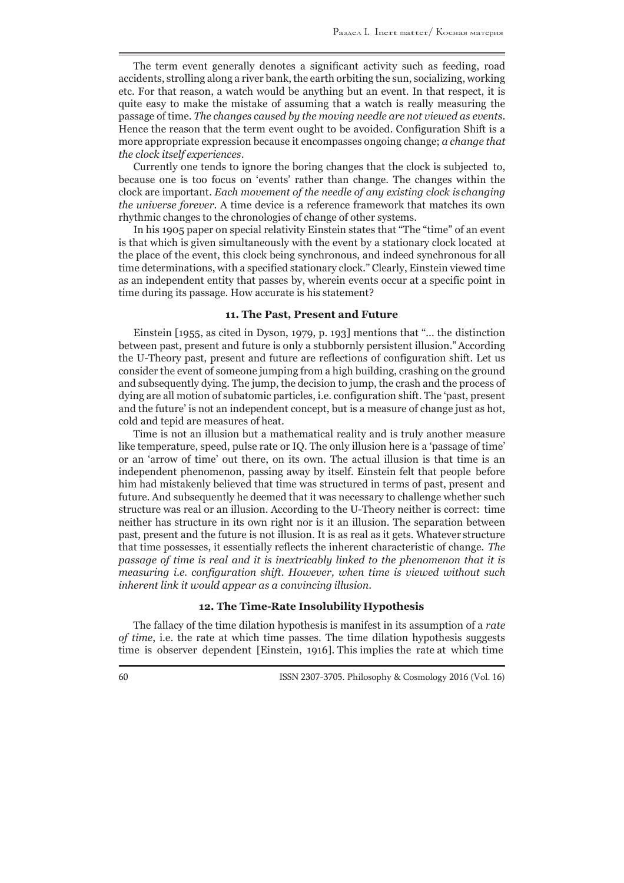The term event generally denotes a significant activity such as feeding, road accidents, strolling along a river bank, the earth orbiting the sun, socializing, working etc. For that reason, a watch would be anything but an event. In that respect, it is quite easy to make the mistake of assuming that a watch is really measuring the passage of time. *The changes caused by the moving needle are not viewed as events*. Hence the reason that the term event ought to be avoided. Configuration Shift is a more appropriate expression because it encompasses ongoing change; *a change that the clock itself experiences*.

Currently one tends to ignore the boring changes that the clock is subjected to, because one is too focus on 'events' rather than change. The changes within the clock are important. *Each movement of the needle of any existing clock is changing the universe forever*. A time device is a reference framework that matches its own rhythmic changes to the chronologies of change of other systems.

In his 1905 paper on special relativity Einstein states that "The "time" of an event is that which is given simultaneously with the event by a stationary clock located at the place of the event, this clock being synchronous, and indeed synchronous for all time determinations, with a specified stationary clock." Clearly, Einstein viewed time as an independent entity that passes by, wherein events occur at a specific point in time during its passage. How accurate is his statement?

# **11. The Past, Present and Future**

Einstein [1955, as cited in Dyson, 1979, p. 193] mentions that "... the distinction between past, present and future is only a stubbornly persistent illusion." According the U-Theory past, present and future are reflections of configuration shift. Let us consider the event of someone jumping from a high building, crashing on the ground and subsequently dying. The jump, the decision to jump, the crash and the process of dying are all motion of subatomic particles, i.e. configuration shift. The 'past, present and the future' is not an independent concept, but is a measure of change just as hot, cold and tepid are measures of heat.

Time is not an illusion but a mathematical reality and is truly another measure like temperature, speed, pulse rate or IQ. The only illusion here is a 'passage of time' or an 'arrow of time' out there, on its own. The actual illusion is that time is an independent phenomenon, passing away by itself. Einstein felt that people before him had mistakenly believed that time was structured in terms of past, present and future. And subsequently he deemed that it was necessary to challenge whether such structure was real or an illusion. According to the U-Theory neither is correct: time neither has structure in its own right nor is it an illusion. The separation between past, present and the future is not illusion. It is as real as it gets. Whatever structure that time possesses, it essentially reflects the inherent characteristic of change. *The passage of time is real and it is inextricably linked to the phenomenon that it is measuring i.e. configuration shift. However, when time is viewed without such inherent link it would appear as a convincing illusion*.

# **12. The Time-Rate Insolubility Hypothesis**

The fallacy of the time dilation hypothesis is manifest in its assumption of a *rate of time*, i.e. the rate at which time passes. The time dilation hypothesis suggests time is observer dependent [Einstein, 1916]. This implies the rate at which time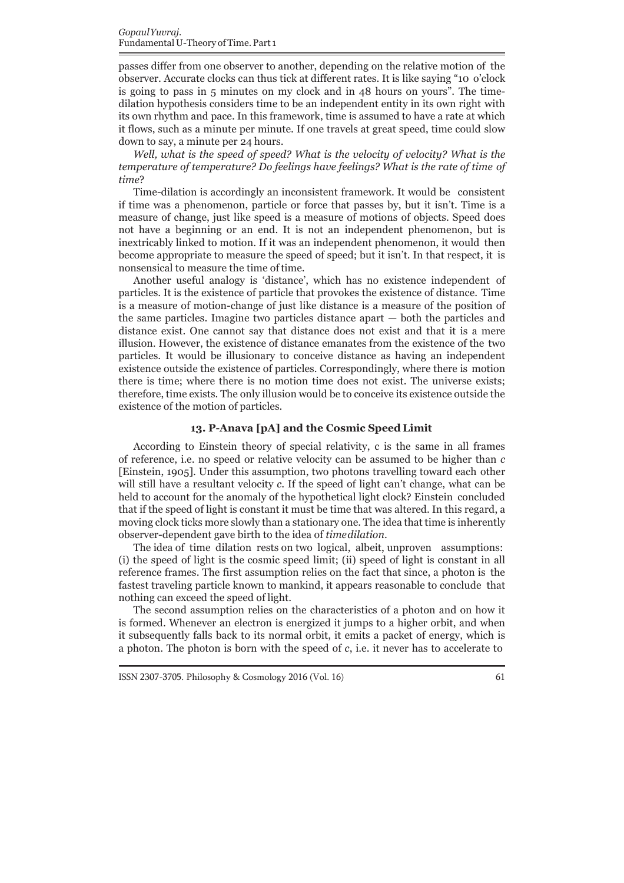passes differ from one observer to another, depending on the relative motion of the observer. Accurate clocks can thus tick at different rates. It is like saying "10 o'clock is going to pass in 5 minutes on my clock and in 48 hours on yours". The timedilation hypothesis considers time to be an independent entity in its own right with its own rhythm and pace. In this framework, time is assumed to have a rate at which it flows, such as a minute per minute. If one travels at great speed, time could slow down to say, a minute per 24 hours.

*Well, what is the speed of speed? What is the velocity of velocity? What is the temperature of temperature? Do feelings have feelings? What is the rate of time of time*?

Time-dilation is accordingly an inconsistent framework. It would be consistent if time was a phenomenon, particle or force that passes by, but it isn't. Time is a measure of change, just like speed is a measure of motions of objects. Speed does not have a beginning or an end. It is not an independent phenomenon, but is inextricably linked to motion. If it was an independent phenomenon, it would then become appropriate to measure the speed of speed; but it isn't. In that respect, it is nonsensical to measure the time of time.

Another useful analogy is 'distance', which has no existence independent of particles. It is the existence of particle that provokes the existence of distance. Time is a measure of motion-change of just like distance is a measure of the position of the same particles. Imagine two particles distance apart — both the particles and distance exist. One cannot say that distance does not exist and that it is a mere illusion. However, the existence of distance emanates from the existence of the two particles. It would be illusionary to conceive distance as having an independent existence outside the existence of particles. Correspondingly, where there is motion there is time; where there is no motion time does not exist. The universe exists; therefore, time exists. The only illusion would be to conceive its existence outside the existence of the motion of particles.

## **13. P-Anava [pA] and the Cosmic Speed Limit**

According to Einstein theory of special relativity, c is the same in all frames of reference, i.e. no speed or relative velocity can be assumed to be higher than *c*  [Einstein, 1905]. Under this assumption, two photons travelling toward each other will still have a resultant velocity *c*. If the speed of light can't change, what can be held to account for the anomaly of the hypothetical light clock? Einstein concluded that if the speed of light is constant it must be time that was altered. In this regard, a moving clock ticks more slowly than a stationary one. The idea that time is inherently observer-dependent gave birth to the idea of *time dilation*.

The idea of time dilation rests on two logical, albeit, unproven assumptions: (i) the speed of light is the cosmic speed limit; (ii) speed of light is constant in all reference frames. The first assumption relies on the fact that since, a photon is the fastest traveling particle known to mankind, it appears reasonable to conclude that nothing can exceed the speed of light.

The second assumption relies on the characteristics of a photon and on how it is formed. Whenever an electron is energized it jumps to a higher orbit, and when it subsequently falls back to its normal orbit, it emits a packet of energy, which is a photon. The photon is born with the speed of *c*, i.e. it never has to accelerate to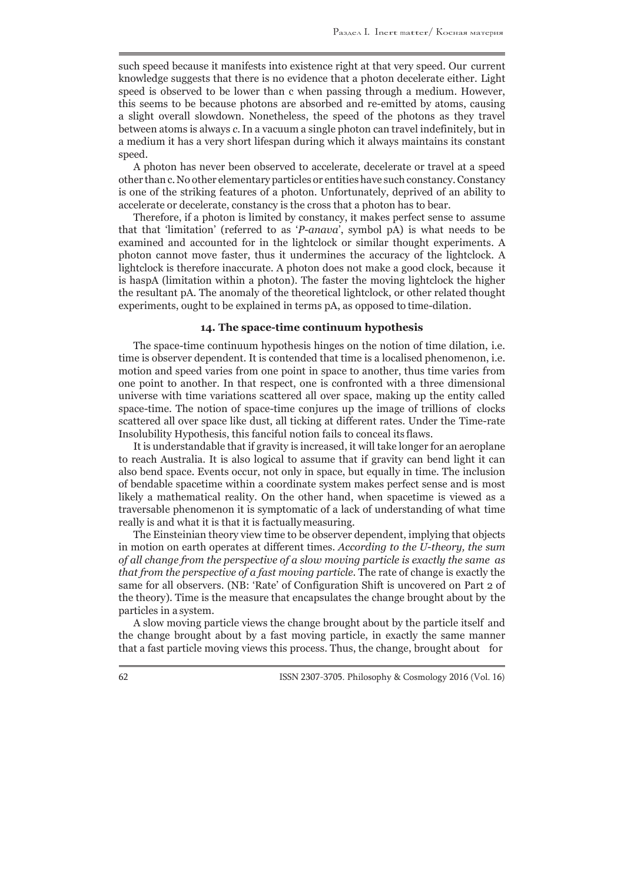such speed because it manifests into existence right at that very speed. Our current knowledge suggests that there is no evidence that a photon decelerate either. Light speed is observed to be lower than c when passing through a medium. However, this seems to be because photons are absorbed and re-emitted by atoms, causing a slight overall slowdown. Nonetheless, the speed of the photons as they travel between atoms is always *c*. In a vacuum a single photon can travel indefinitely, but in a medium it has a very short lifespan during which it always maintains its constant speed.

A photon has never been observed to accelerate, decelerate or travel at a speed other than c. No other elementary particles or entities have such constancy. Constancy is one of the striking features of a photon. Unfortunately, deprived of an ability to accelerate or decelerate, constancy is the cross that a photon has to bear.

Therefore, if a photon is limited by constancy, it makes perfect sense to assume that that 'limitation' (referred to as '*P-anava*', symbol pA) is what needs to be examined and accounted for in the lightclock or similar thought experiments. A photon cannot move faster, thus it undermines the accuracy of the lightclock. A lightclock is therefore inaccurate. A photon does not make a good clock, because it is haspA (limitation within a photon). The faster the moving lightclock the higher the resultant pA. The anomaly of the theoretical lightclock, or other related thought experiments, ought to be explained in terms pA, as opposed to time-dilation.

## **14. The space-time continuum hypothesis**

The space-time continuum hypothesis hinges on the notion of time dilation, i.e. time is observer dependent. It is contended that time is a localised phenomenon, i.e. motion and speed varies from one point in space to another, thus time varies from one point to another. In that respect, one is confronted with a three dimensional universe with time variations scattered all over space, making up the entity called space-time. The notion of space-time conjures up the image of trillions of clocks scattered all over space like dust, all ticking at different rates. Under the Time-rate Insolubility Hypothesis, this fanciful notion fails to conceal its flaws.

It is understandable that if gravity is increased, it will take longer for an aeroplane to reach Australia. It is also logical to assume that if gravity can bend light it can also bend space. Events occur, not only in space, but equally in time. The inclusion of bendable spacetime within a coordinate system makes perfect sense and is most likely a mathematical reality. On the other hand, when spacetime is viewed as a traversable phenomenon it is symptomatic of a lack of understanding of what time really is and what it is that it is factually measuring.

The Einsteinian theory view time to be observer dependent, implying that objects in motion on earth operates at different times. *According to the U-theory, the sum of all change from the perspective of a slow moving particle is exactly the same as that from the perspective of a fast moving particle*. The rate of change is exactly the same for all observers. (NB: 'Rate' of Configuration Shift is uncovered on Part 2 of the theory). Time is the measure that encapsulates the change brought about by the particles in a system.

A slow moving particle views the change brought about by the particle itself and the change brought about by a fast moving particle, in exactly the same manner that a fast particle moving views this process. Thus, the change, brought about for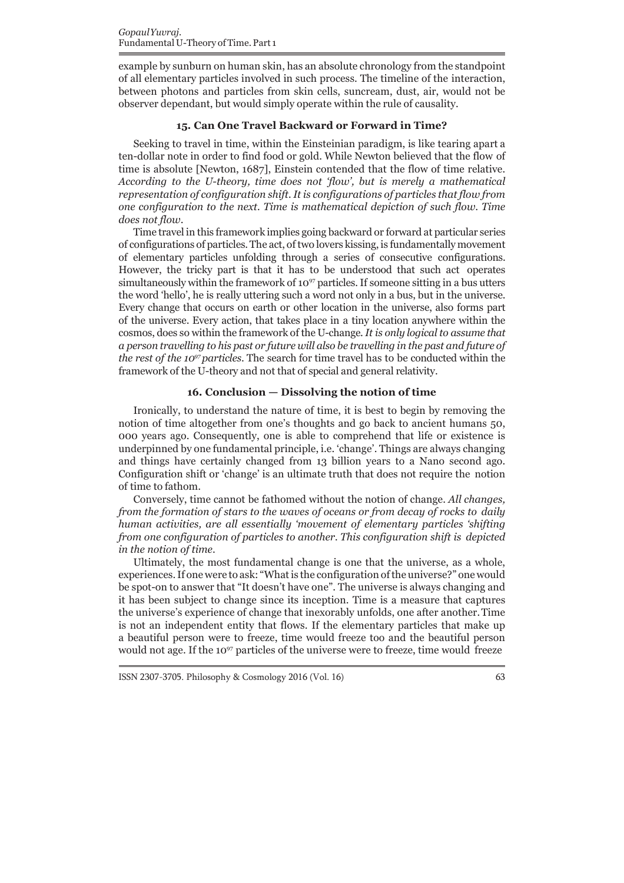example by sunburn on human skin, has an absolute chronology from the standpoint of all elementary particles involved in such process. The timeline of the interaction, between photons and particles from skin cells, suncream, dust, air, would not be observer dependant, but would simply operate within the rule of causality.

#### **15. Can One Travel Backward or Forward in Time?**

Seeking to travel in time, within the Einsteinian paradigm, is like tearing apart a ten-dollar note in order to find food or gold. While Newton believed that the flow of time is absolute [Newton, 1687], Einstein contended that the flow of time relative. *According to the U-theory, time does not 'flow', but is merely a mathematical representation of configuration shift. It is configurations of particles that flow from one configuration to the next. Time is mathematical depiction of such flow. Time does not flow*.

Time travel in this framework implies going backward or forward at particular series of configurations of particles. The act, of two lovers kissing, is fundamentally movement of elementary particles unfolding through a series of consecutive configurations. However, the tricky part is that it has to be understood that such act operates simultaneously within the framework of  $10^{97}$  particles. If someone sitting in a bus utters the word 'hello', he is really uttering such a word not only in a bus, but in the universe. Every change that occurs on earth or other location in the universe, also forms part of the universe. Every action, that takes place in a tiny location anywhere within the cosmos, does so within the framework of the U-change. *It is only logical to assume that a person travelling to his past or future will also be travelling in the past and future of the rest of the 10<sup>97</sup>particles*. The search for time travel has to be conducted within the framework of the U-theory and not that of special and general relativity.

# **16. Conclusion — Dissolving the notion of time**

Ironically, to understand the nature of time, it is best to begin by removing the notion of time altogether from one's thoughts and go back to ancient humans 50, 000 years ago. Consequently, one is able to comprehend that life or existence is underpinned by one fundamental principle, i.e. 'change'. Things are always changing and things have certainly changed from 13 billion years to a Nano second ago. Configuration shift or 'change' is an ultimate truth that does not require the notion of time to fathom.

Conversely, time cannot be fathomed without the notion of change. *All changes, from the formation of stars to the waves of oceans or from decay of rocks to daily human activities, are all essentially 'movement of elementary particles 'shifting from one configuration of particles to another. This configuration shift is depicted in the notion of time*.

Ultimately, the most fundamental change is one that the universe, as a whole, experiences. If one were to ask: "What is the configuration of the universe?" one would be spot-on to answer that "It doesn't have one". The universe is always changing and it has been subject to change since its inception. Time is a measure that captures the universe's experience of change that inexorably unfolds, one after another. Time is not an independent entity that flows. If the elementary particles that make up a beautiful person were to freeze, time would freeze too and the beautiful person would not age. If the 10<sup>97</sup> particles of the universe were to freeze, time would freeze